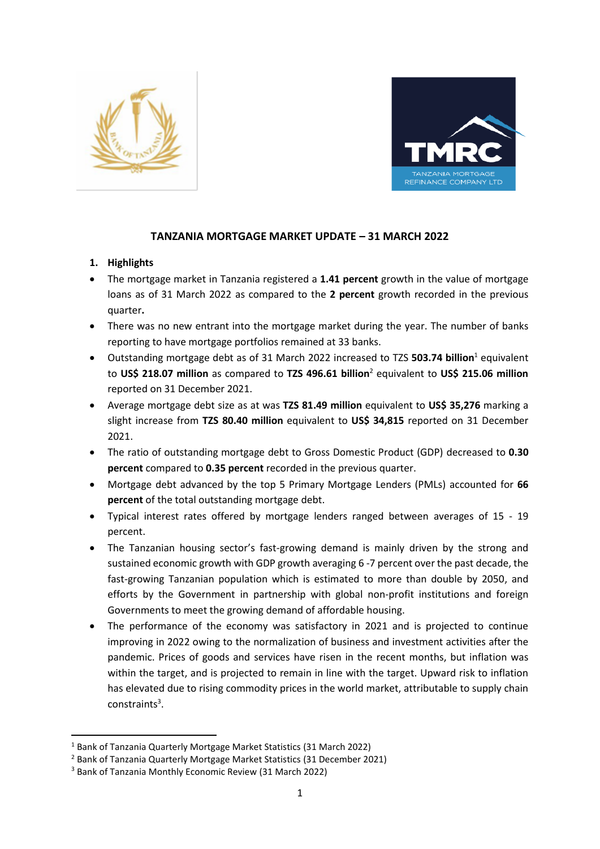



# **TANZANIA MORTGAGE MARKET UPDATE – 31 MARCH 2022**

## **1. Highlights**

- The mortgage market in Tanzania registered a **1.41 percent** growth in the value of mortgage loans as of 31 March 2022 as compared to the **2 percent** growth recorded in the previous quarter**.**
- There was no new entrant into the mortgage market during the year. The number of banks reporting to have mortgage portfolios remained at 33 banks.
- Outstanding mortgage debt as of 31 March 2022 increased to TZS **503.74 billion**<sup>1</sup> equivalent to **US\$ 218.07 million** as compared to **TZS 496.61 billion**<sup>2</sup> equivalent to **US\$ 215.06 million** reported on 31 December 2021.
- Average mortgage debt size as at was **TZS 81.49 million** equivalent to **US\$ 35,276** marking a slight increase from **TZS 80.40 million** equivalent to **US\$ 34,815** reported on 31 December 2021.
- The ratio of outstanding mortgage debt to Gross Domestic Product (GDP) decreased to **0.30 percent** compared to **0.35 percent** recorded in the previous quarter.
- Mortgage debt advanced by the top 5 Primary Mortgage Lenders (PMLs) accounted for **66 percent** of the total outstanding mortgage debt.
- Typical interest rates offered by mortgage lenders ranged between averages of 15 19 percent.
- The Tanzanian housing sector's fast-growing demand is mainly driven by the strong and sustained economic growth with GDP growth averaging 6 -7 percent over the past decade, the fast-growing Tanzanian population which is estimated to more than double by 2050, and efforts by the Government in partnership with global non-profit institutions and foreign Governments to meet the growing demand of affordable housing.
- The performance of the economy was satisfactory in 2021 and is projected to continue improving in 2022 owing to the normalization of business and investment activities after the pandemic. Prices of goods and services have risen in the recent months, but inflation was within the target, and is projected to remain in line with the target. Upward risk to inflation has elevated due to rising commodity prices in the world market, attributable to supply chain constraints<sup>3</sup>.

<sup>1</sup> Bank of Tanzania Quarterly Mortgage Market Statistics (31 March 2022)

<sup>&</sup>lt;sup>2</sup> Bank of Tanzania Quarterly Mortgage Market Statistics (31 December 2021)

<sup>3</sup> Bank of Tanzania Monthly Economic Review (31 March 2022)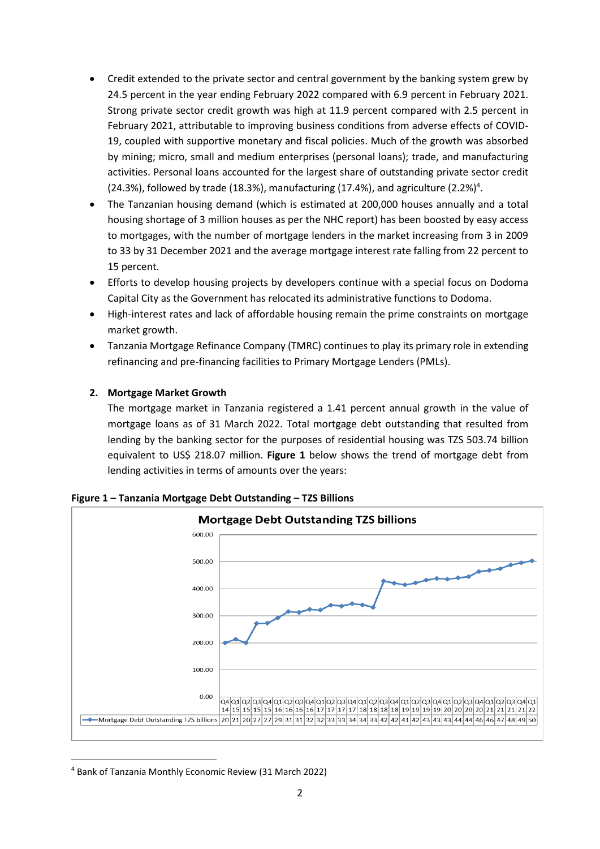- Credit extended to the private sector and central government by the banking system grew by 24.5 percent in the year ending February 2022 compared with 6.9 percent in February 2021. Strong private sector credit growth was high at 11.9 percent compared with 2.5 percent in February 2021, attributable to improving business conditions from adverse effects of COVID-19, coupled with supportive monetary and fiscal policies. Much of the growth was absorbed by mining; micro, small and medium enterprises (personal loans); trade, and manufacturing activities. Personal loans accounted for the largest share of outstanding private sector credit (24.3%), followed by trade (18.3%), manufacturing (17.4%), and agriculture (2.2%)<sup>4</sup>.
- The Tanzanian housing demand (which is estimated at 200,000 houses annually and a total housing shortage of 3 million houses as per the NHC report) has been boosted by easy access to mortgages, with the number of mortgage lenders in the market increasing from 3 in 2009 to 33 by 31 December 2021 and the average mortgage interest rate falling from 22 percent to 15 percent.
- Efforts to develop housing projects by developers continue with a special focus on Dodoma Capital City as the Government has relocated its administrative functions to Dodoma.
- High-interest rates and lack of affordable housing remain the prime constraints on mortgage market growth.
- Tanzania Mortgage Refinance Company (TMRC) continues to play its primary role in extending refinancing and pre-financing facilities to Primary Mortgage Lenders (PMLs).

## **2. Mortgage Market Growth**

The mortgage market in Tanzania registered a 1.41 percent annual growth in the value of mortgage loans as of 31 March 2022. Total mortgage debt outstanding that resulted from lending by the banking sector for the purposes of residential housing was TZS 503.74 billion equivalent to US\$ 218.07 million. **Figure 1** below shows the trend of mortgage debt from lending activities in terms of amounts over the years:



**Figure 1 – Tanzania Mortgage Debt Outstanding – TZS Billions** 

<sup>4</sup> Bank of Tanzania Monthly Economic Review (31 March 2022)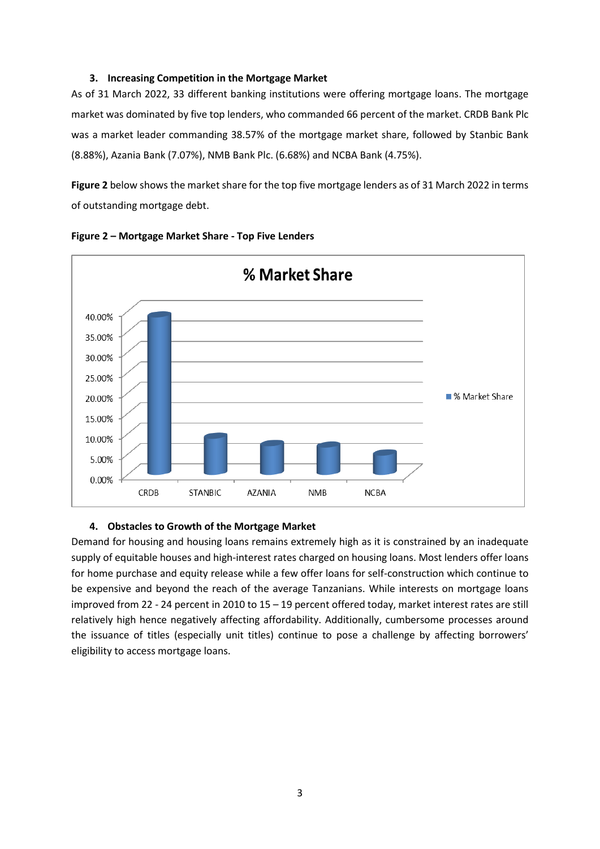## **3. Increasing Competition in the Mortgage Market**

As of 31 March 2022, 33 different banking institutions were offering mortgage loans. The mortgage market was dominated by five top lenders, who commanded 66 percent of the market. CRDB Bank Plc was a market leader commanding 38.57% of the mortgage market share, followed by Stanbic Bank (8.88%), Azania Bank (7.07%), NMB Bank Plc. (6.68%) and NCBA Bank (4.75%).

**Figure 2** below shows the market share for the top five mortgage lenders as of 31 March 2022 in terms of outstanding mortgage debt.





#### **4. Obstacles to Growth of the Mortgage Market**

Demand for housing and housing loans remains extremely high as it is constrained by an inadequate supply of equitable houses and high-interest rates charged on housing loans. Most lenders offer loans for home purchase and equity release while a few offer loans for self-construction which continue to be expensive and beyond the reach of the average Tanzanians. While interests on mortgage loans improved from 22 - 24 percent in 2010 to 15 – 19 percent offered today, market interest rates are still relatively high hence negatively affecting affordability. Additionally, cumbersome processes around the issuance of titles (especially unit titles) continue to pose a challenge by affecting borrowers' eligibility to access mortgage loans.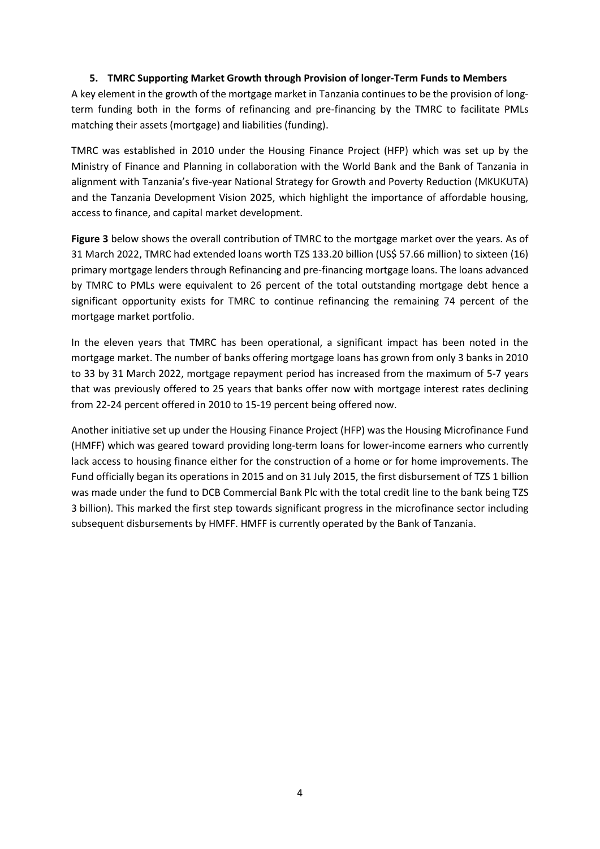## **5. TMRC Supporting Market Growth through Provision of longer-Term Funds to Members**

A key element in the growth of the mortgage market in Tanzania continues to be the provision of longterm funding both in the forms of refinancing and pre-financing by the TMRC to facilitate PMLs matching their assets (mortgage) and liabilities (funding).

TMRC was established in 2010 under the Housing Finance Project (HFP) which was set up by the Ministry of Finance and Planning in collaboration with the World Bank and the Bank of Tanzania in alignment with Tanzania's five-year National Strategy for Growth and Poverty Reduction (MKUKUTA) and the Tanzania Development Vision 2025, which highlight the importance of affordable housing, access to finance, and capital market development.

**Figure 3** below shows the overall contribution of TMRC to the mortgage market over the years. As of 31 March 2022, TMRC had extended loans worth TZS 133.20 billion (US\$ 57.66 million) to sixteen (16) primary mortgage lenders through Refinancing and pre-financing mortgage loans. The loans advanced by TMRC to PMLs were equivalent to 26 percent of the total outstanding mortgage debt hence a significant opportunity exists for TMRC to continue refinancing the remaining 74 percent of the mortgage market portfolio.

In the eleven years that TMRC has been operational, a significant impact has been noted in the mortgage market. The number of banks offering mortgage loans has grown from only 3 banks in 2010 to 33 by 31 March 2022, mortgage repayment period has increased from the maximum of 5-7 years that was previously offered to 25 years that banks offer now with mortgage interest rates declining from 22-24 percent offered in 2010 to 15-19 percent being offered now.

Another initiative set up under the Housing Finance Project (HFP) was the Housing Microfinance Fund (HMFF) which was geared toward providing long-term loans for lower-income earners who currently lack access to housing finance either for the construction of a home or for home improvements. The Fund officially began its operations in 2015 and on 31 July 2015, the first disbursement of TZS 1 billion was made under the fund to DCB Commercial Bank Plc with the total credit line to the bank being TZS 3 billion). This marked the first step towards significant progress in the microfinance sector including subsequent disbursements by HMFF. HMFF is currently operated by the Bank of Tanzania.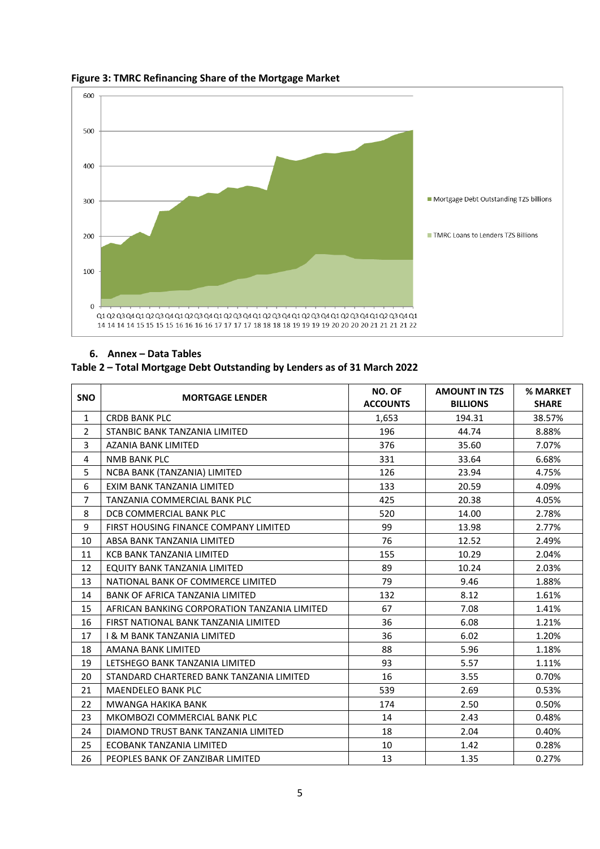

## **Figure 3: TMRC Refinancing Share of the Mortgage Market**

#### **6. Annex – Data Tables**

## **Table 2 – Total Mortgage Debt Outstanding by Lenders as of 31 March 2022**

| <b>SNO</b>     | <b>MORTGAGE LENDER</b>                       | NO. OF          | <b>AMOUNT IN TZS</b> | % MARKET     |
|----------------|----------------------------------------------|-----------------|----------------------|--------------|
|                |                                              | <b>ACCOUNTS</b> | <b>BILLIONS</b>      | <b>SHARE</b> |
| $\mathbf{1}$   | <b>CRDB BANK PLC</b>                         | 1,653           | 194.31               | 38.57%       |
| $\overline{2}$ | STANBIC BANK TANZANIA LIMITED                | 196             | 44.74                | 8.88%        |
| 3              | AZANIA BANK LIMITED                          | 376             | 35.60                | 7.07%        |
| 4              | <b>NMB BANK PLC</b>                          | 331             | 33.64                | 6.68%        |
| 5              | NCBA BANK (TANZANIA) LIMITED                 | 126             | 23.94                | 4.75%        |
| 6              | EXIM BANK TANZANIA LIMITED                   | 133             | 20.59                | 4.09%        |
| $\overline{7}$ | TANZANIA COMMERCIAL BANK PLC                 | 425             | 20.38                | 4.05%        |
| 8              | DCB COMMERCIAL BANK PLC                      | 520             | 14.00                | 2.78%        |
| 9              | FIRST HOUSING FINANCE COMPANY LIMITED        | 99              | 13.98                | 2.77%        |
| 10             | ABSA BANK TANZANIA LIMITED                   | 76              | 12.52                | 2.49%        |
| 11             | KCB BANK TANZANIA LIMITED                    | 155             | 10.29                | 2.04%        |
| 12             | EQUITY BANK TANZANIA LIMITED                 | 89              | 10.24                | 2.03%        |
| 13             | NATIONAL BANK OF COMMERCE LIMITED            | 79              | 9.46                 | 1.88%        |
| 14             | BANK OF AFRICA TANZANIA LIMITED              | 132             | 8.12                 | 1.61%        |
| 15             | AFRICAN BANKING CORPORATION TANZANIA LIMITED | 67              | 7.08                 | 1.41%        |
| 16             | FIRST NATIONAL BANK TANZANIA LIMITED         | 36              | 6.08                 | 1.21%        |
| 17             | <b>I &amp; M BANK TANZANIA LIMITED</b>       | 36              | 6.02                 | 1.20%        |
| 18             | AMANA BANK LIMITED                           | 88              | 5.96                 | 1.18%        |
| 19             | LETSHEGO BANK TANZANIA LIMITED               | 93              | 5.57                 | 1.11%        |
| 20             | STANDARD CHARTERED BANK TANZANIA LIMITED     | 16              | 3.55                 | 0.70%        |
| 21             | <b>MAENDELEO BANK PLC</b>                    | 539             | 2.69                 | 0.53%        |
| 22             | <b>MWANGA HAKIKA BANK</b>                    | 174             | 2.50                 | 0.50%        |
| 23             | MKOMBOZI COMMERCIAL BANK PLC                 | 14              | 2.43                 | 0.48%        |
| 24             | DIAMOND TRUST BANK TANZANIA LIMITED          | 18              | 2.04                 | 0.40%        |
| 25             | ECOBANK TANZANIA LIMITED                     | 10              | 1.42                 | 0.28%        |
| 26             | PEOPLES BANK OF ZANZIBAR LIMITED             | 13              | 1.35                 | 0.27%        |